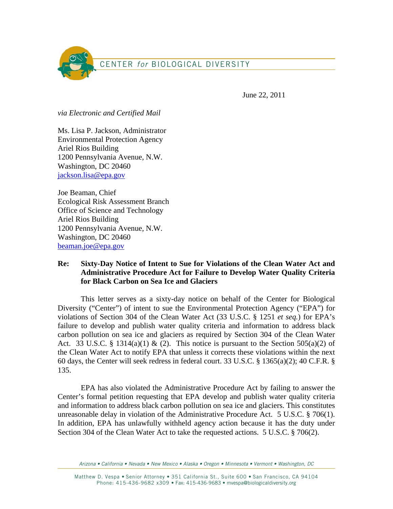

June 22, 2011

*via Electronic and Certified Mail* 

Ms. Lisa P. Jackson, Administrator Environmental Protection Agency Ariel Rios Building 1200 Pennsylvania Avenue, N.W. Washington, DC 20460 jackson.lisa@epa.gov

Joe Beaman, Chief Ecological Risk Assessment Branch Office of Science and Technology Ariel Rios Building 1200 Pennsylvania Avenue, N.W. Washington, DC 20460 beaman.joe@epa.gov

## **Re: Sixty-Day Notice of Intent to Sue for Violations of the Clean Water Act and Administrative Procedure Act for Failure to Develop Water Quality Criteria for Black Carbon on Sea Ice and Glaciers**

 This letter serves as a sixty-day notice on behalf of the Center for Biological Diversity ("Center") of intent to sue the Environmental Protection Agency ("EPA") for violations of Section 304 of the Clean Water Act (33 U.S.C. § 1251 *et seq.*) for EPA's failure to develop and publish water quality criteria and information to address black carbon pollution on sea ice and glaciers as required by Section 304 of the Clean Water Act. 33 U.S.C. § 1314(a)(1) & (2). This notice is pursuant to the Section 505(a)(2) of the Clean Water Act to notify EPA that unless it corrects these violations within the next 60 days, the Center will seek redress in federal court. 33 U.S.C. § 1365(a)(2); 40 C.F.R. § 135.

EPA has also violated the Administrative Procedure Act by failing to answer the Center's formal petition requesting that EPA develop and publish water quality criteria and information to address black carbon pollution on sea ice and glaciers. This constitutes unreasonable delay in violation of the Administrative Procedure Act. 5 U.S.C. § 706(1). In addition, EPA has unlawfully withheld agency action because it has the duty under Section 304 of the Clean Water Act to take the requested actions. 5 U.S.C. § 706(2).

Arizona • California • Nevada • New Mexico • Alaska • Oregon • Minnesota • Vermont • Washington, DC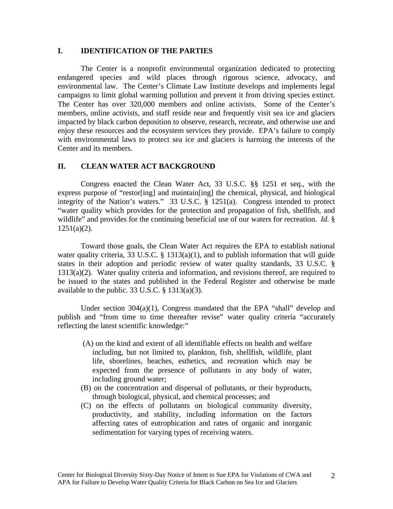### **I. IDENTIFICATION OF THE PARTIES**

The Center is a nonprofit environmental organization dedicated to protecting endangered species and wild places through rigorous science, advocacy, and environmental law. The Center's Climate Law Institute develops and implements legal campaigns to limit global warming pollution and prevent it from driving species extinct. The Center has over 320,000 members and online activists. Some of the Center's members, online activists, and staff reside near and frequently visit sea ice and glaciers impacted by black carbon deposition to observe, research, recreate, and otherwise use and enjoy these resources and the ecosystem services they provide. EPA's failure to comply with environmental laws to protect sea ice and glaciers is harming the interests of the Center and its members.

### **II. CLEAN WATER ACT BACKGROUND**

Congress enacted the Clean Water Act, 33 U.S.C. §§ 1251 et seq., with the express purpose of "restor[ing] and maintain[ing] the chemical, physical, and biological integrity of the Nation's waters." 33 U.S.C. § 1251(a). Congress intended to protect "water quality which provides for the protection and propagation of fish, shellfish, and wildlife" and provides for the continuing beneficial use of our waters for recreation. *Id.* §  $1251(a)(2)$ .

Toward those goals, the Clean Water Act requires the EPA to establish national water quality criteria, 33 U.S.C. § 1313(a)(1), and to publish information that will guide states in their adoption and periodic review of water quality standards, 33 U.S.C. § 1313(a)(2). Water quality criteria and information, and revisions thereof, are required to be issued to the states and published in the Federal Register and otherwise be made available to the public.  $33 \text{ U.S.C.} \$   $313(3)(3)$ .

Under section  $304(a)(1)$ , Congress mandated that the EPA "shall" develop and publish and "from time to time thereafter revise" water quality criteria "accurately reflecting the latest scientific knowledge:"

- (A) on the kind and extent of all identifiable effects on health and welfare including, but not limited to, plankton, fish, shellfish, wildlife, plant life, shorelines, beaches, esthetics, and recreation which may be expected from the presence of pollutants in any body of water, including ground water;
- (B) on the concentration and dispersal of pollutants, or their byproducts, through biological, physical, and chemical processes; and
- (C) on the effects of pollutants on biological community diversity, productivity, and stability, including information on the factors affecting rates of eutrophication and rates of organic and inorganic sedimentation for varying types of receiving waters.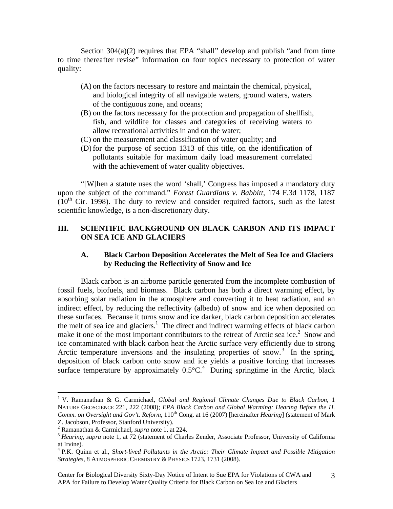Section  $304(a)(2)$  requires that EPA "shall" develop and publish "and from time to time thereafter revise" information on four topics necessary to protection of water quality:

- (A) on the factors necessary to restore and maintain the chemical, physical, and biological integrity of all navigable waters, ground waters, waters of the contiguous zone, and oceans;
- (B) on the factors necessary for the protection and propagation of shellfish, fish, and wildlife for classes and categories of receiving waters to allow recreational activities in and on the water;
- (C) on the measurement and classification of water quality; and
- (D) for the purpose of section 1313 of this title, on the identification of pollutants suitable for maximum daily load measurement correlated with the achievement of water quality objectives.

"[W]hen a statute uses the word 'shall,' Congress has imposed a mandatory duty upon the subject of the command." *Forest Guardians v. Babbitt*, 174 F.3d 1178, 1187  $(10<sup>th</sup>$  Cir. 1998). The duty to review and consider required factors, such as the latest scientific knowledge, is a non-discretionary duty.

# **III. SCIENTIFIC BACKGROUND ON BLACK CARBON AND ITS IMPACT ON SEA ICE AND GLACIERS**

## **A. Black Carbon Deposition Accelerates the Melt of Sea Ice and Glaciers by Reducing the Reflectivity of Snow and Ice**

Black carbon is an airborne particle generated from the incomplete combustion of fossil fuels, biofuels, and biomass. Black carbon has both a direct warming effect, by absorbing solar radiation in the atmosphere and converting it to heat radiation, and an indirect effect, by reducing the reflectivity (albedo) of snow and ice when deposited on these surfaces. Because it turns snow and ice darker, black carbon deposition accelerates the melt of sea ice and glaciers.<sup>1</sup> The direct and indirect warming effects of black carbon make it one of the most important contributors to the retreat of Arctic sea ice. $2$  Snow and ice contaminated with black carbon heat the Arctic surface very efficiently due to strong Arctic temperature inversions and the insulating properties of snow.<sup>3</sup> In the spring, deposition of black carbon onto snow and ice yields a positive forcing that increases surface temperature by approximately  $0.5^{\circ}$ C.<sup>4</sup> During springtime in the Arctic, black

<sup>&</sup>lt;sup>1</sup> V. Ramanathan & G. Carmichael, *Global and Regional Climate Changes Due to Black Carbon*, 1 NATURE GEOSCIENCE 221, 222 (2008); *EPA Black Carbon and Global Warming: Hearing Before the H. Comm. on Oversight and Gov't. Reform, 110<sup>th</sup> Cong. at 16 (2007) [hereinafter <i>Hearing*] (statement of Mark Z. Jacobson, Professor, Stanford University).

<sup>&</sup>lt;sup>2</sup> Ramanathan & Carmichael, *supra* note 1, at 224.

<sup>&</sup>lt;sup>3</sup> Hearing, supra note 1, at 72 (statement of Charles Zender, Associate Professor, University of California at Irvine).

<sup>&</sup>lt;sup>4</sup> P.K. Quinn et al., Short-lived Pollutants in the Arctic: Their Climate Impact and Possible Mitigation *Strategies*, 8 ATMOSPHERIC CHEMISTRY & PHYSICS 1723, 1731 (2008).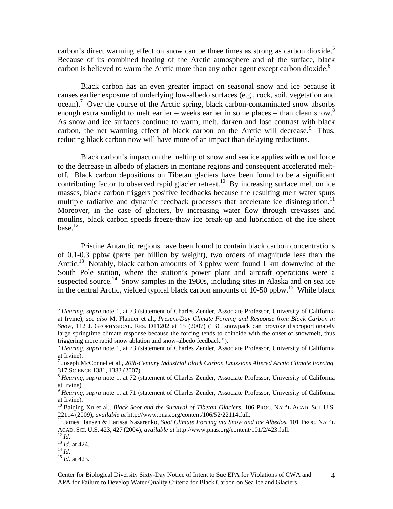carbon's direct warming effect on snow can be three times as strong as carbon dioxide.<sup>5</sup> Because of its combined heating of the Arctic atmosphere and of the surface, black carbon is believed to warm the Arctic more than any other agent except carbon dioxide.<sup>6</sup>

Black carbon has an even greater impact on seasonal snow and ice because it causes earlier exposure of underlying low-albedo surfaces (e.g., rock, soil, vegetation and ocean).<sup>7</sup> Over the course of the Arctic spring, black carbon-contaminated snow absorbs enough extra sunlight to melt earlier – weeks earlier in some places – than clean snow.<sup>8</sup> As snow and ice surfaces continue to warm, melt, darken and lose contrast with black carbon, the net warming effect of black carbon on the Arctic will decrease. $\degree$  Thus, reducing black carbon now will have more of an impact than delaying reductions.

Black carbon's impact on the melting of snow and sea ice applies with equal force to the decrease in albedo of glaciers in montane regions and consequent accelerated meltoff. Black carbon depositions on Tibetan glaciers have been found to be a significant contributing factor to observed rapid glacier retreat.<sup>10</sup> By increasing surface melt on ice masses, black carbon triggers positive feedbacks because the resulting melt water spurs multiple radiative and dynamic feedback processes that accelerate ice disintegration.<sup>11</sup> Moreover, in the case of glaciers, by increasing water flow through crevasses and moulins, black carbon speeds freeze-thaw ice break-up and lubrication of the ice sheet  $base.<sup>12</sup>$ 

Pristine Antarctic regions have been found to contain black carbon concentrations of 0.1-0.3 ppbw (parts per billion by weight), two orders of magnitude less than the Arctic.<sup>13</sup> Notably, black carbon amounts of 3 ppbw were found 1 km downwind of the South Pole station, where the station's power plant and aircraft operations were a suspected source.<sup>14</sup> Snow samples in the 1980s, including sites in Alaska and on sea ice in the central Arctic, yielded typical black carbon amounts of 10-50 ppbw.<sup>15</sup> While black

<sup>5</sup> *Hearing, supra* note 1, at 73 (statement of Charles Zender, Associate Professor, University of California at Irvine); *see also* M. Flanner et al., *Present-Day Climate Forcing and Response from Black Carbon in Snow*, 112 J. GEOPHYSICAL. RES. D11202 at 15 (2007) ("BC snowpack can provoke disproportionately large springtime climate response because the forcing tends to coincide with the onset of snowmelt, thus triggering more rapid snow ablation and snow-albedo feedback.").

<sup>6</sup> *Hearing, supra* note 1, at 73 (statement of Charles Zender, Associate Professor, University of California at Irvine).

<sup>7</sup> Joseph McConnel et al., *20th-Century Industrial Black Carbon Emissions Altered Arctic Climate Forcing*, 317 SCIENCE 1381, 1383 (2007). 8 *Hearing, supra* note 1, at 72 (statement of Charles Zender, Associate Professor, University of California

at Irvine).

<sup>&</sup>lt;sup>9</sup> *Hearing, supra* note 1, at 71 (statement of Charles Zender, Associate Professor, University of California at Irvine).

<sup>&</sup>lt;sup>10</sup> Baiqing Xu et al., *Black Soot and the Survival of Tibetan Glaciers*, 106 PROC. NAT'L ACAD. SCI. U.S. 22114 (2009), *available at http://www.pnas.org/content/106/52/22114.full.* 

<sup>&</sup>lt;sup>11</sup> James Hansen & Larissa Nazarenko, *Soot Climate Forcing via Snow and Ice Albedos*, 101 PROC. NAT'L ACAD. SCI. U.S. 423, 427 (2004), *available at* http://www.pnas.org/content/101/2/423.full.<br><sup>12</sup> *Id. at* 424.<br><sup>14</sup> *Id.* at 423.<br><sup>15</sup> *Id.* at 423.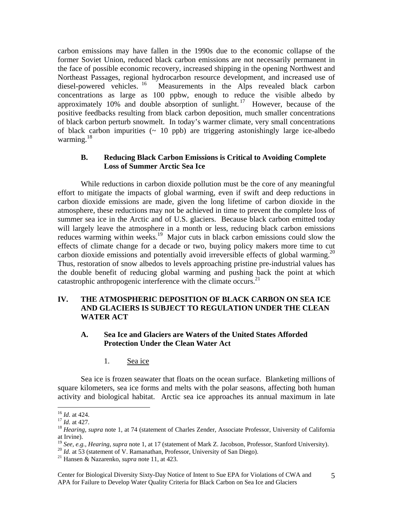carbon emissions may have fallen in the 1990s due to the economic collapse of the former Soviet Union, reduced black carbon emissions are not necessarily permanent in the face of possible economic recovery, increased shipping in the opening Northwest and Northeast Passages, regional hydrocarbon resource development, and increased use of diesel-powered vehicles.<sup>16</sup> Measurements in the Alps revealed black carbon Measurements in the Alps revealed black carbon concentrations as large as 100 ppbw, enough to reduce the visible albedo by approximately 10% and double absorption of sunlight.<sup>17</sup> However, because of the positive feedbacks resulting from black carbon deposition, much smaller concentrations of black carbon perturb snowmelt. In today's warmer climate, very small concentrations of black carbon impurities  $($   $\sim$  10 ppb) are triggering astonishingly large ice-albedo warming.<sup>18</sup>

#### **B. Reducing Black Carbon Emissions is Critical to Avoiding Complete Loss of Summer Arctic Sea Ice**

While reductions in carbon dioxide pollution must be the core of any meaningful effort to mitigate the impacts of global warming, even if swift and deep reductions in carbon dioxide emissions are made, given the long lifetime of carbon dioxide in the atmosphere, these reductions may not be achieved in time to prevent the complete loss of summer sea ice in the Arctic and of U.S. glaciers. Because black carbon emitted today will largely leave the atmosphere in a month or less, reducing black carbon emissions reduces warming within weeks.<sup>19</sup> Major cuts in black carbon emissions could slow the effects of climate change for a decade or two, buying policy makers more time to cut carbon dioxide emissions and potentially avoid irreversible effects of global warming.<sup>20</sup> Thus, restoration of snow albedos to levels approaching pristine pre-industrial values has the double benefit of reducing global warming and pushing back the point at which catastrophic anthropogenic interference with the climate occurs. $^{21}$ 

## **IV. THE ATMOSPHERIC DEPOSITION OF BLACK CARBON ON SEA ICE AND GLACIERS IS SUBJECT TO REGULATION UNDER THE CLEAN WATER ACT**

### **A. Sea Ice and Glaciers are Waters of the United States Afforded Protection Under the Clean Water Act**

1. Sea ice

Sea ice is frozen seawater that floats on the ocean surface. Blanketing millions of square kilometers, sea ice forms and melts with the polar seasons, affecting both human activity and biological habitat. Arctic sea ice approaches its annual maximum in late

 $16$  *Id.* at 424.

<sup>16</sup> *Id.* at 424. 17 *Id.* at 427. 18 *Hearing, supra* note 1, at 74 (statement of Charles Zender, Associate Professor, University of California at Irvine).

<sup>&</sup>lt;sup>19</sup> See, e.g., Hearing, supra note 1, at 17 (statement of Mark Z. Jacobson, Professor, Stanford University).<br><sup>20</sup> Id. at 53 (statement of V. Ramanathan, Professor, University of San Diego).<br><sup>21</sup> Hansen & Nazarenko, *supr*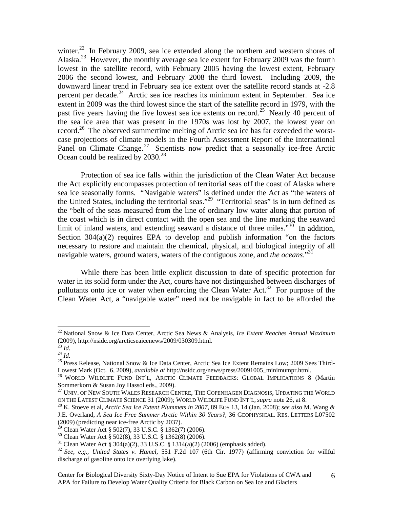winter.<sup>22</sup> In February 2009, sea ice extended along the northern and western shores of Alaska.<sup>23</sup> However, the monthly average sea ice extent for February 2009 was the fourth lowest in the satellite record, with February 2005 having the lowest extent, February 2006 the second lowest, and February 2008 the third lowest. Including 2009, the downward linear trend in February sea ice extent over the satellite record stands at -2.8 percent per decade.<sup>24</sup> Arctic sea ice reaches its minimum extent in September. Sea ice extent in 2009 was the third lowest since the start of the satellite record in 1979, with the past five years having the five lowest sea ice extents on record.<sup>25</sup> Nearly 40 percent of the sea ice area that was present in the 1970s was lost by 2007, the lowest year on record.<sup>26</sup> The observed summertime melting of Arctic sea ice has far exceeded the worstcase projections of climate models in the Fourth Assessment Report of the International Panel on Climate Change.<sup>27</sup> Scientists now predict that a seasonally ice-free Arctic Ocean could be realized by  $2030.<sup>28</sup>$ 

Protection of sea ice falls within the jurisdiction of the Clean Water Act because the Act explicitly encompasses protection of territorial seas off the coast of Alaska where sea ice seasonally forms. "Navigable waters" is defined under the Act as "the waters of the United States, including the territorial seas."<sup>29</sup> "Territorial seas" is in turn defined as the "belt of the seas measured from the line of ordinary low water along that portion of the coast which is in direct contact with the open sea and the line marking the seaward limit of inland waters, and extending seaward a distance of three miles." $30$  In addition, Section  $304(a)(2)$  requires EPA to develop and publish information "on the factors" necessary to restore and maintain the chemical, physical, and biological integrity of all navigable waters, ground waters, waters of the contiguous zone, and *the oceans*."31

While there has been little explicit discussion to date of specific protection for water in its solid form under the Act, courts have not distinguished between discharges of pollutants onto ice or water when enforcing the Clean Water Act.<sup>32</sup> For purpose of the Clean Water Act, a "navigable water" need not be navigable in fact to be afforded the

<sup>22</sup> National Snow & Ice Data Center, Arctic Sea News & Analysis, *Ice Extent Reaches Annual Maximum* (2009), http://nsidc.org/arcticseaicenews/2009/030309.html.<br> $^{23}$  Id.

<sup>&</sup>lt;sup>24</sup> *Id.*<br><sup>25</sup> Press Release, National Snow & Ice Data Center, Arctic Sea Ice Extent Remains Low; 2009 Sees Third-

Lowest Mark (Oct. 6, 2009), *available at* http://nsidc.org/news/press/20091005\_minimumpr.html. 26 WORLD WILDLIFE FUND INT'L, ARCTIC CLIMATE FEEDBACKS: GLOBAL IMPLICATIONS 8 (Martin Sommerkorn & Susan Joy Hassol eds., 2009).

 $^{27}$  Univ. of New South Wales Research Centre, The Copenhagen Diagnosis, Updating the World ON THE LATEST CLIMATE SCIENCE 31 (2009); WORLD WILDLIFE FUND INT'L, *supra* note 26, at 8. 28 K. Stoeve et al, *Arctic Sea Ice Extent Plummets in 2007*, 89 EOS 13, 14 (Jan. 2008); *see also* M. Wang &

J.E. Overland, *A Sea Ice Free Summer Arctic Within 30 Years?*, 36 GEOPHYSICAL. RES. LETTERS L07502 (2009) (predicting near ice-free Arctic by 2037).

<sup>29</sup> Clean Water Act § 502(7), 33 U.S.C. § 1362(7) (2006).

<sup>30</sup> Clean Water Act § 502(8), 33 U.S.C. § 1362(8) (2006).

<sup>&</sup>lt;sup>31</sup> Clean Water Act § 304(a)(2), 33 U.S.C. § 1314(a)(2) (2006) (emphasis added).

<sup>32</sup> *See, e.g., United States v. Hamel*, 551 F.2d 107 (6th Cir. 1977) (affirming conviction for willful discharge of gasoline onto ice overlying lake).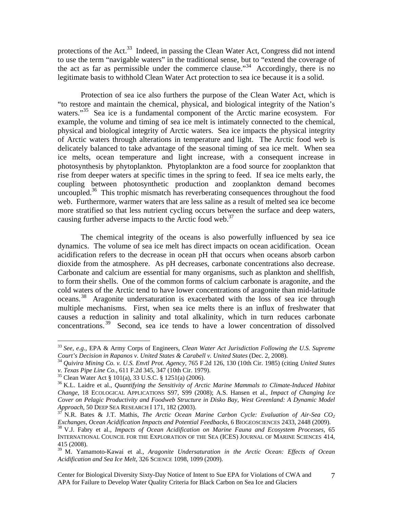protections of the Act.<sup>33</sup> Indeed, in passing the Clean Water Act, Congress did not intend to use the term "navigable waters" in the traditional sense, but to "extend the coverage of the act as far as permissible under the commerce clause."<sup>34</sup> Accordingly, there is no legitimate basis to withhold Clean Water Act protection to sea ice because it is a solid.

Protection of sea ice also furthers the purpose of the Clean Water Act, which is "to restore and maintain the chemical, physical, and biological integrity of the Nation's waters."<sup>35</sup> Sea ice is a fundamental component of the Arctic marine ecosystem. For example, the volume and timing of sea ice melt is intimately connected to the chemical, physical and biological integrity of Arctic waters. Sea ice impacts the physical integrity of Arctic waters through alterations in temperature and light. The Arctic food web is delicately balanced to take advantage of the seasonal timing of sea ice melt. When sea ice melts, ocean temperature and light increase, with a consequent increase in photosynthesis by phytoplankton. Phytoplankton are a food source for zooplankton that rise from deeper waters at specific times in the spring to feed. If sea ice melts early, the coupling between photosynthetic production and zooplankton demand becomes uncoupled.<sup>36</sup> This trophic mismatch has reverberating consequences throughout the food web. Furthermore, warmer waters that are less saline as a result of melted sea ice become more stratified so that less nutrient cycling occurs between the surface and deep waters, causing further adverse impacts to the Arctic food web.<sup>37</sup>

The chemical integrity of the oceans is also powerfully influenced by sea ice dynamics. The volume of sea ice melt has direct impacts on ocean acidification. Ocean acidification refers to the decrease in ocean pH that occurs when oceans absorb carbon dioxide from the atmosphere. As pH decreases, carbonate concentrations also decrease. Carbonate and calcium are essential for many organisms, such as plankton and shellfish, to form their shells. One of the common forms of calcium carbonate is aragonite, and the cold waters of the Arctic tend to have lower concentrations of aragonite than mid-latitude oceans.<sup>38</sup> Aragonite undersaturation is exacerbated with the loss of sea ice through multiple mechanisms. First, when sea ice melts there is an influx of freshwater that causes a reduction in salinity and total alkalinity, which in turn reduces carbonate concentrations. 39 Second, sea ice tends to have a lower concentration of dissolved

<sup>33</sup> *See, e.g.,* EPA & Army Corps of Engineers, *Clean Water Act Jurisdiction Following the U.S. Supreme* 

<sup>&</sup>lt;sup>34</sup> Quivira Mining Co. v. U.S. Envtl Prot. Agency, 765 F.2d 126, 130 (10th Cir. 1985) (citing *United States v. Texas Pipe Line Co.*, 611 F.2d 345, 347 (10th Cir. 1979).

<sup>&</sup>lt;sup>35</sup> Clean Water Act § 101(a), 33 U.S.C. § 1251(a) (2006).

<sup>36</sup> K.L. Laidre et al., *Quantifying the Sensitivity of Arctic Marine Mammals to Climate-Induced Habitat Change*, 18 ECOLOGICAL APPLICATIONS S97, S99 (2008); A.S. Hansen et al., *Impact of Changing Ice Cover on Pelagic Productivity and Foodweb Structure in Disko Bay, West Greenland: A Dynamic Model* 

*Approach*, 50 DEEP SEA RESEARCH I 171, 182 (2003).<br><sup>37</sup> N.R. Bates & J.T. Mathis, *The Arctic Ocean Marine Carbon Cycle: Evaluation of Air-Sea CO<sub>2</sub>*<br>*Exchanges, Ocean Acidification Impacts and Potential Feedbacks*, 6 BIO <sup>38</sup> V.J. Fabry et al., *Impacts of Ocean Acidification on Marine Fauna and Ecosystem Processes*, 65 INTERNATIONAL COUNCIL FOR THE EXPLORATION OF THE SEA (ICES) JOURNAL OF MARINE SCIENCES 414, 415 (2008).

<sup>39</sup> M. Yamamoto-Kawai et al., *Aragonite Undersaturation in the Arctic Ocean: Effects of Ocean Acidification and Sea Ice Melt*, 326 SCIENCE 1098, 1099 (2009).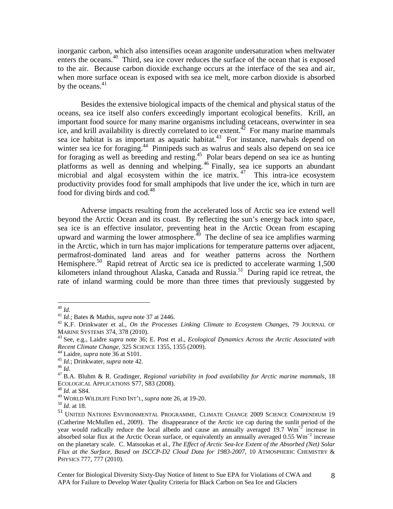inorganic carbon, which also intensifies ocean aragonite undersaturation when meltwater enters the oceans.40 Third, sea ice cover reduces the surface of the ocean that is exposed to the air. Because carbon dioxide exchange occurs at the interface of the sea and air, when more surface ocean is exposed with sea ice melt, more carbon dioxide is absorbed by the oceans. $41$ 

Besides the extensive biological impacts of the chemical and physical status of the oceans, sea ice itself also confers exceedingly important ecological benefits. Krill, an important food source for many marine organisms including cetaceans, overwinter in sea ice, and krill availability is directly correlated to ice extent.<sup> $\frac{5}{2}$ </sup> For many marine mammals sea ice habitat is as important as aquatic habitat.<sup>43</sup> For instance, narwhals depend on winter sea ice for foraging.<sup>44</sup> Pinnipeds such as walrus and seals also depend on sea ice for foraging as well as breeding and resting.45 Polar bears depend on sea ice as hunting platforms as well as denning and whelping. 46 Finally, sea ice supports an abundant microbial and algal ecosystem within the ice matrix.<sup>47</sup> This intra-ice ecosystem productivity provides food for small amphipods that live under the ice, which in turn are food for diving birds and  $\cot^{48}$ 

Adverse impacts resulting from the accelerated loss of Arctic sea ice extend well beyond the Arctic Ocean and its coast. By reflecting the sun's energy back into space, sea ice is an effective insulator, preventing heat in the Arctic Ocean from escaping upward and warming the lower atmosphere.<sup> $\frac{49}{12}$ </sup> The decline of sea ice amplifies warming in the Arctic, which in turn has major implications for temperature patterns over adjacent, permafrost-dominated land areas and for weather patterns across the Northern Hemisphere.<sup>50</sup> Rapid retreat of Arctic sea ice is predicted to accelerate warming 1,500 kilometers inland throughout Alaska, Canada and Russia.<sup>51</sup> During rapid ice retreat, the rate of inland warming could be more than three times that previously suggested by

 $40$   $Id.$ 

<sup>&</sup>lt;sup>41</sup> *Id.*; Bates & Mathis, *supra* note 37 at 2446.<br><sup>42</sup> K.F. Drinkwater et al., *On the Processes Linking Climate to Ecosystem Changes*, 79 JOURNAL OF

MARINE SYSTEMS 374, 378 (2010).<br><sup>43</sup> See, e.g., Laidre *supra* note 36; E. Post et al., *Ecological Dynamics Across the Arctic Associated with Recent Climate Change*, 325 SCIENCE 1355, 1355 (2009).

<sup>&</sup>lt;sup>44</sup> Laidre, *supra* note 36 at S101.<br><sup>45</sup> *Id.*; Drinkwater, *supra* note 42.<br><sup>46</sup> *Id.*<br><sup>47</sup> B.A. Bluhm & R. Gradinger, *Regional variability in food availability for Arctic marine mammals, 18* ECOLOGICAL APPLICATIONS S77, S83 (2008). 48 *Id.* at S84.

<sup>49</sup> WORLD WILDLIFE FUND INT'L, *supra* note 26, at 19-20. 50 *Id.* at 18.

<sup>51</sup> UNITED NATIONS ENVIRONMENTAL PROGRAMME, CLIMATE CHANGE 2009 SCIENCE COMPENDIUM 19 (Catherine McMullen ed., 2009). The disappearance of the Arctic ice cap during the sunlit period of the year would radically reduce the local albedo and cause an annually averaged 19.7 Wm<sup>-2</sup> increase in absorbed solar flux at the Arctic Ocean surface, or equivalently an annually averaged 0.55 Wm<sup>−</sup><sup>2</sup> increase on the planetary scale. C. Matsoukas et al., *The Effect of Arctic Sea-Ice Extent of the Absorbed (Net) Solar Flux at the Surface, Based on ISCCP-D2 Cloud Data for 1983-2007*, 10 ATMOSPHERIC CHEMISTRY & PHYSICS 777, 777 (2010).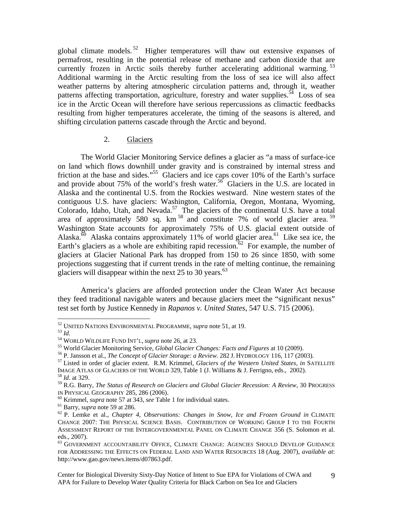global climate models.<sup>52</sup> Higher temperatures will thaw out extensive expanses of permafrost, resulting in the potential release of methane and carbon dioxide that are currently frozen in Arctic soils thereby further accelerating additional warming.<sup>53</sup> Additional warming in the Arctic resulting from the loss of sea ice will also affect weather patterns by altering atmospheric circulation patterns and, through it, weather patterns affecting transportation, agriculture, forestry and water supplies.<sup>54</sup> Loss of sea ice in the Arctic Ocean will therefore have serious repercussions as climactic feedbacks resulting from higher temperatures accelerate, the timing of the seasons is altered, and shifting circulation patterns cascade through the Arctic and beyond.

#### 2. Glaciers

The World Glacier Monitoring Service defines a glacier as "a mass of surface-ice on land which flows downhill under gravity and is constrained by internal stress and friction at the base and sides."<sup>55</sup> Glaciers and ice caps cover 10% of the Earth's surface and provide about 75% of the world's fresh water.<sup>56</sup> Glaciers in the U.S. are located in Alaska and the continental U.S. from the Rockies westward. Nine western states of the contiguous U.S. have glaciers: Washington, California, Oregon, Montana, Wyoming, Colorado, Idaho, Utah, and Nevada.<sup>57</sup> The glaciers of the continental U.S. have a total area of approximately 580 sq.  $km^{58}$  and constitute 7% of world glacier area.<sup>59</sup> Washington State accounts for approximately 75% of U.S. glacial extent outside of Alaska.<sup>60</sup> Alaska contains approximately 11% of world glacier area.<sup>61</sup> Like sea ice, the Earth's glaciers as a whole are exhibiting rapid recession.<sup>62</sup> For example, the number of glaciers at Glacier National Park has dropped from 150 to 26 since 1850, with some projections suggesting that if current trends in the rate of melting continue, the remaining glaciers will disappear within the next 25 to 30 years. $63$ 

America's glaciers are afforded protection under the Clean Water Act because they feed traditional navigable waters and because glaciers meet the "significant nexus" test set forth by Justice Kennedy in *Rapanos v. United States*, 547 U.S. 715 (2006).

<sup>&</sup>lt;sup>52</sup> UNITED NATIONS ENVIRONMENTAL PROGRAMME, *supra* note 51, at 19.

<sup>&</sup>lt;sup>53</sup> Id.<br><sup>54</sup> WORLD WILDLIFE FUND INT'L, *supra* note 26, at 23.<br><sup>55</sup> World Glacier Monitoring Service, *Global Glacier Changes: Facts and Figures* at 10 (2009).<br><sup>56</sup> P. Jansson et al., *The Concept of Glacier Storage: a* IMAGE ATLAS OF GLACIERS OF THE WORLD 329, Table 1 (J. Williams & J. Ferrigno, eds., 2002). 58 *Id.* at 329.

<sup>59</sup> R.G. Barry, *The Status of Research on Glaciers and Global Glacier Recession: A Review*, 30 PROGRESS

<sup>&</sup>lt;sup>60</sup> Krimmel, *supra* note 57 at 343, *see* Table 1 for individual states.<br><sup>61</sup> Barry, *supra* note 59 at 286.<br><sup>62</sup> P. Lemke et al., *Chapter 4, Observations: Changes in Snow, Ice and Frozen Ground in CLIMATE* CHANGE 2007: THE PHYSICAL SCIENCE BASIS. CONTRIBUTION OF WORKING GROUP I TO THE FOURTH ASSESSMENT REPORT OF THE INTERGOVERNMENTAL PANEL ON CLIMATE CHANGE 356 (S. Solomon et al. eds., 2007).

 $^{63}$  GOVERNMENT ACCOUNTABILITY OFFICE, CLIMATE CHANGE: AGENCIES SHOULD DEVELOP GUIDANCE FOR ADDRESSING THE EFFECTS ON FEDERAL LAND AND WATER RESOURCES 18 (Aug. 2007), *available at*: http://www.gao.gov/news.items/d07863.pdf.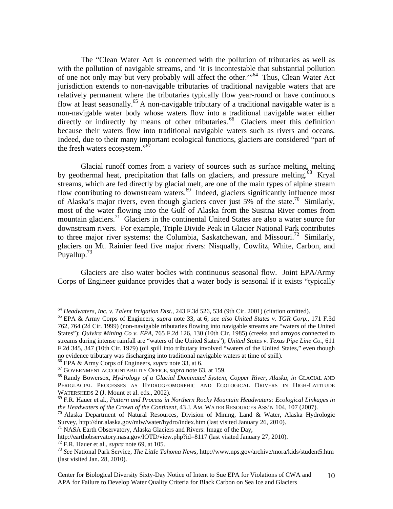The "Clean Water Act is concerned with the pollution of tributaries as well as with the pollution of navigable streams, and 'it is incontestable that substantial pollution of one not only may but very probably will affect the other."<sup>64</sup> Thus, Clean Water Act jurisdiction extends to non-navigable tributaries of traditional navigable waters that are relatively permanent where the tributaries typically flow year-round or have continuous flow at least seasonally.<sup>65</sup> A non-navigable tributary of a traditional navigable water is a non-navigable water body whose waters flow into a traditional navigable water either directly or indirectly by means of other tributaries.<sup>66</sup> Glaciers meet this definition because their waters flow into traditional navigable waters such as rivers and oceans. Indeed, due to their many important ecological functions, glaciers are considered "part of the fresh waters ecosystem."67

Glacial runoff comes from a variety of sources such as surface melting, melting by geothermal heat, precipitation that falls on glaciers, and pressure melting.<sup>68</sup> Kryal streams, which are fed directly by glacial melt, are one of the main types of alpine stream flow contributing to downstream waters.<sup>69</sup> Indeed, glaciers significantly influence most of Alaska's major rivers, even though glaciers cover just 5% of the state.<sup>70</sup> Similarly, most of the water flowing into the Gulf of Alaska from the Susitna River comes from mountain glaciers.<sup>71</sup> Glaciers in the continental United States are also a water source for downstream rivers. For example, Triple Divide Peak in Glacier National Park contributes to three major river systems: the Columbia, Saskatchewan, and Missouri.<sup>72</sup> Similarly, glaciers on Mt. Rainier feed five major rivers: Nisqually, Cowlitz, White, Carbon, and Puyallup.<sup>73</sup>

Glaciers are also water bodies with continuous seasonal flow. Joint EPA/Army Corps of Engineer guidance provides that a water body is seasonal if it exists "typically

<sup>64</sup> *Headwaters, Inc. v. Talent Irrigation Dist.*, 243 F.3d 526, 534 (9th Cir. 2001) (citation omitted). 65 EPA & Army Corps of Engineers, *supra* note 33, at 6; *see also United States v. TGR Corp.,* 171 F.3d 762, 764 (2d Cir. 1999) (non-navigable tributaries flowing into navigable streams are "waters of the United States"); *Quivira Mining Co v. EPA*, 765 F.2d 126, 130 (10th Cir. 1985) (creeks and arroyos connected to streams during intense rainfall are "waters of the United States"); *United States v. Texas Pipe Line Co.,* 611 F.2d 345, 347 (10th Cir. 1979) (oil spill into tributary involved "waters of the United States," even though no evidence tributary was discharging into traditional navigable waters at time of spill).

<sup>&</sup>lt;sup>66</sup> EPA & Army Corps of Engineers, *supra* note 33, at 6.<br><sup>67</sup> GOVERNMENT ACCOUNTABILITY OFFICE, *supra* note 63, at 159.<br><sup>68</sup> Randy Bowersox, *Hydrology of a Glacial Dominated System, Copper River, Alaska, in GLACIAL AN* PERIGLACIAL PROCESSES AS HYDROGEOMORPHIC AND ECOLOGICAL DRIVERS IN HIGH-LATITUDE WATERSHEDS 2 (J. Mount et al. eds., 2002).<br><sup>69</sup> F.R. Hauer et al., *Pattern and Process in Northern Rocky Mountain Headwaters: Ecological Linkages in* 

*the Headwaters of the Crown of the Continent,* 43 J. AM. WATER RESOURCES ASS'N 104, 107 (2007).<br><sup>70</sup> Alaska Department of Natural Resources, Division of Mining, Land & Water, Alaska Hydrologic

Survey, http://dnr.alaska.gov/mlw/water/hydro/index.htm (last visited January 26, 2010).<br><sup>71</sup> NASA Earth Observatory, Alaska Glaciers and Rivers: Image of the Day,<br>http://earthobservatory.nasa.gov/IOTD/view.php?id=8117 (la

<sup>&</sup>lt;sup>72</sup> F.R. Hauer et al., *supra* note 69, at 105.<br><sup>73</sup> See National Park Service, *The Little Tahoma News*, http://www.nps.gov/archive/mora/kids/student5.htm (last visited Jan. 28, 2010).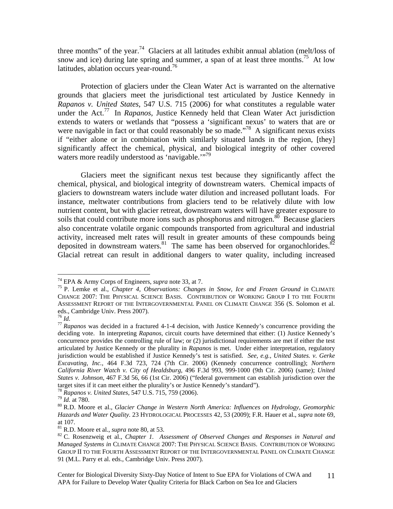three months" of the year.<sup>74</sup> Glaciers at all latitudes exhibit annual ablation (melt/loss of snow and ice) during late spring and summer, a span of at least three months.<sup>75</sup> At low latitudes, ablation occurs year-round.<sup>76</sup>

Protection of glaciers under the Clean Water Act is warranted on the alternative grounds that glaciers meet the jurisdictional test articulated by Justice Kennedy in *Rapanos v. United States*, 547 U.S. 715 (2006) for what constitutes a regulable water under the Act.77 In *Rapanos,* Justice Kennedy held that Clean Water Act jurisdiction extends to waters or wetlands that "possess a 'significant nexus' to waters that are or were navigable in fact or that could reasonably be so made."<sup>78</sup> A significant nexus exists if "either alone or in combination with similarly situated lands in the region, [they] significantly affect the chemical, physical, and biological integrity of other covered waters more readily understood as 'navigable."<sup>79</sup>

Glaciers meet the significant nexus test because they significantly affect the chemical, physical, and biological integrity of downstream waters. Chemical impacts of glaciers to downstream waters include water dilution and increased pollutant loads. For instance, meltwater contributions from glaciers tend to be relatively dilute with low nutrient content, but with glacier retreat, downstream waters will have greater exposure to soils that could contribute more ions such as phosphorus and nitrogen. $\frac{80}{10}$  Because glaciers also concentrate volatile organic compounds transported from agricultural and industrial activity, increased melt rates will result in greater amounts of these compounds being deposited in downstream waters.<sup>81</sup> The same has been observed for organochlorides.<sup>82</sup> Glacial retreat can result in additional dangers to water quality, including increased

<sup>74</sup> EPA & Army Corps of Engineers, *supra* note 33, at 7. 75 P. Lemke et al., *Chapter 4, Observations: Changes in Snow, Ice and Frozen Ground in* CLIMATE CHANGE 2007: THE PHYSICAL SCIENCE BASIS. CONTRIBUTION OF WORKING GROUP I TO THE FOURTH ASSESSMENT REPORT OF THE INTERGOVERNMENTAL PANEL ON CLIMATE CHANGE 356 (S. Solomon et al. eds., Cambridge Univ. Press 2007).<br><sup>76</sup> Id.

<sup>&</sup>lt;sup>77</sup> *Rapanos* was decided in a fractured 4-1-4 decision, with Justice Kennedy's concurrence providing the deciding vote. In interpreting *Rapanos*, circuit courts have determined that either: (1) Justice Kennedy's concurrence provides the controlling rule of law; or (2) jurisdictional requirements are met if either the test articulated by Justice Kennedy or the plurality in *Rapanos* is met. Under either interpretation, regulatory jurisdiction would be established if Justice Kennedy's test is satisfied. *See, e.g., United States. v. Gerke Excavating, Inc.,* 464 F.3d 723, 724 (7th Cir. 2006) (Kennedy concurrence controlling); *Northern California River Watch v. City of Healdsburg*, 496 F.3d 993, 999-1000 (9th Cir. 2006) (same); *United States v. Johnson*, 467 F.3d 56, 66 (1st Cir. 2006) ("federal government can establish jurisdiction over the target sites if it can meet either the plurality's or Justice Kennedy's standard").<br><sup>78</sup> Rapanos v. United States, 547 U.S. 715, 759 (2006).<br><sup>79</sup> Id. at 780.<br><sup>80</sup> R.D. Moore et al., *Glacier Change in Western North Americ* 

*Hazards and Water Quality.* 23 HYDROLOGICAL PROCESSES 42, 53 (2009); F.R. Hauer et al., *supra* note 69, at 107.<br> $81$  R.D. Moore et al., *supra* note 80, at 53.

<sup>&</sup>lt;sup>82</sup> C. Rosenzweig et al., *Chapter 1.* Assessment of Observed Changes and Responses in Natural and *Managed Systems in* CLIMATE CHANGE 2007: THE PHYSICAL SCIENCE BASIS. CONTRIBUTION OF WORKING GROUP II TO THE FOURTH ASSESSMENT REPORT OF THE INTERGOVERNMENTAL PANEL ON CLIMATE CHANGE 91 (M.L. Parry et al. eds., Cambridge Univ. Press 2007).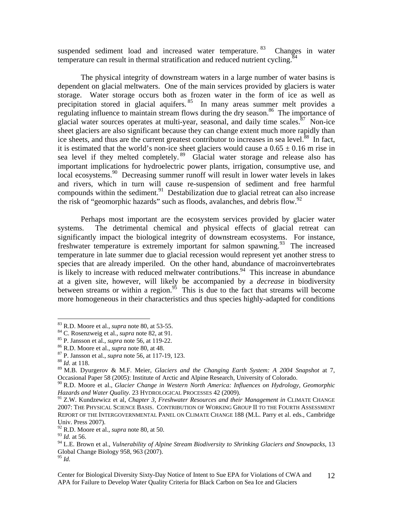suspended sediment load and increased water temperature. <sup>83</sup> Changes in water temperature can result in thermal stratification and reduced nutrient cycling.<sup>84</sup>

The physical integrity of downstream waters in a large number of water basins is dependent on glacial meltwaters. One of the main services provided by glaciers is water storage. Water storage occurs both as frozen water in the form of ice as well as precipitation stored in glacial aquifers.<sup>85</sup> In many areas summer melt provides a regulating influence to maintain stream flows during the dry season.<sup>86</sup> The importance of glacial water sources operates at multi-year, seasonal, and daily time scales. $87$  Non-ice sheet glaciers are also significant because they can change extent much more rapidly than ice sheets, and thus are the current greatest contributor to increases in sea level.<sup>88</sup> In fact, it is estimated that the world's non-ice sheet glaciers would cause a  $0.65 \pm 0.16$  m rise in sea level if they melted completely.<sup>89</sup> Glacial water storage and release also has important implications for hydroelectric power plants, irrigation, consumptive use, and local ecosystems.<sup>90</sup> Decreasing summer runoff will result in lower water levels in lakes and rivers, which in turn will cause re-suspension of sediment and free harmful compounds within the sediment.<sup>91</sup> Destabilization due to glacial retreat can also increase the risk of "geomorphic hazards" such as floods, avalanches, and debris flow.<sup>92</sup>

Perhaps most important are the ecosystem services provided by glacier water systems. The detrimental chemical and physical effects of glacial retreat can significantly impact the biological integrity of downstream ecosystems. For instance, freshwater temperature is extremely important for salmon spawning.<sup>93</sup> The increased temperature in late summer due to glacial recession would represent yet another stress to species that are already imperiled. On the other hand, abundance of macroinvertebrates is likely to increase with reduced meltwater contributions.<sup>94</sup> This increase in abundance at a given site, however, will likely be accompanied by a *decrease* in biodiversity between streams or within a region.<sup>95</sup> This is due to the fact that streams will become more homogeneous in their characteristics and thus species highly-adapted for conditions

<sup>&</sup>lt;sup>83</sup> R.D. Moore et al., *supra* note 80, at 53-55.<br><sup>84</sup> C. Rosenzweig et al., *supra* note 82, at 91.<br><sup>85</sup> P. Jansson et al., *supra* note 56, at 119-22.<br><sup>86</sup> R.D. Moore et al., *supra* note 80, at 48.<br><sup>87</sup> P. Jansson et

<sup>89</sup> M.B. Dyurgerov & M.F. Meier, *Glaciers and the Changing Earth System: A 2004 Snapshot* at 7, Occasional Paper 58 (2005): Institute of Arctic and Alpine Research, University of Colorado.

<sup>90</sup> R.D. Moore et al., *Glacier Change in Western North America: Influences on Hydrology, Geomorphic Hazards and Water Quality.* 23 HYDROLOGICAL PROCESSES 42 (2009).

<sup>91</sup> Z.W. Kundzewicz et al, *Chapter 3, Freshwater Resources and their Management in* CLIMATE CHANGE 2007: THE PHYSICAL SCIENCE BASIS. CONTRIBUTION OF WORKING GROUP II TO THE FOURTH ASSESSMENT REPORT OF THE INTERGOVERNMENTAL PANEL ON CLIMATE CHANGE 188 (M.L. Parry et al. eds., Cambridge Univ. Press 2007).

<sup>92</sup> R.D. Moore et al., *supra* note 80, at 50.

<sup>93</sup> *Id.* at 56.

<sup>94</sup> L.E. Brown et al., *Vulnerability of Alpine Stream Biodiversity to Shrinking Glaciers and Snowpacks*, 13 Global Change Biology 958, 963 (2007).

<sup>95</sup> *Id.*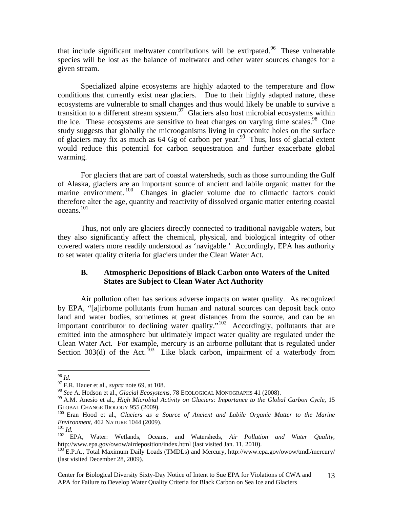that include significant meltwater contributions will be extirpated.<sup>96</sup> These vulnerable species will be lost as the balance of meltwater and other water sources changes for a given stream.

Specialized alpine ecosystems are highly adapted to the temperature and flow conditions that currently exist near glaciers. Due to their highly adapted nature, these ecosystems are vulnerable to small changes and thus would likely be unable to survive a transition to a different stream system.<sup>97</sup> Glaciers also host microbial ecosystems within the ice. These ecosystems are sensitive to heat changes on varying time scales.<sup>98</sup> One study suggests that globally the microoganisms living in cryoconite holes on the surface of glaciers may fix as much as  $64$  Gg of carbon per year.<sup>99</sup> Thus, loss of glacial extent would reduce this potential for carbon sequestration and further exacerbate global warming.

For glaciers that are part of coastal watersheds, such as those surrounding the Gulf of Alaska, glaciers are an important source of ancient and labile organic matter for the marine environment.<sup>100</sup> Changes in glacier volume due to climactic factors could therefore alter the age, quantity and reactivity of dissolved organic matter entering coastal oceans.101

Thus, not only are glaciers directly connected to traditional navigable waters, but they also significantly affect the chemical, physical, and biological integrity of other covered waters more readily understood as 'navigable.' Accordingly, EPA has authority to set water quality criteria for glaciers under the Clean Water Act.

## **B. Atmospheric Depositions of Black Carbon onto Waters of the United States are Subject to Clean Water Act Authority**

Air pollution often has serious adverse impacts on water quality. As recognized by EPA, "[a]irborne pollutants from human and natural sources can deposit back onto land and water bodies, sometimes at great distances from the source, and can be an important contributor to declining water quality."<sup>102</sup> Accordingly, pollutants that are emitted into the atmosphere but ultimately impact water quality are regulated under the Clean Water Act. For example, mercury is an airborne pollutant that is regulated under Section  $303(d)$  of the Act.  $^{103}$  Like black carbon, impairment of a waterbody from

 $96$  Id.

<sup>&</sup>lt;sup>97</sup> F.R. Hauer et al., *supra* note 69, at 108.<br><sup>98</sup> *See* A. Hodson et al., *Glacial Ecosystems*, 78 ECOLOGICAL MONOGRAPHS 41 (2008).

<sup>&</sup>lt;sup>99</sup> A.M. Anesio et al., *High Microbial Activity on Glaciers: Importance to the Global Carbon Cycle*, 15 GLOBAL CHANGE BIOLOGY 955 (2009).<br><sup>100</sup> Eran Hood et al., *Glaciers as a Source of Ancient and Labile Organic Matter to the Marine* 

*Environment*, 462 NATURE 1044 (2009).<br><sup>101</sup> *Id.* **EPA**, Water: Wetlands, Oceans, and Watersheds, *Air Pollution and Water Quality*,

http://www.epa.gov/owow/airdeposition/index.html (last visited Jan. 11, 2010).<br><sup>103</sup> E.P.A., Total Maximum Daily Loads (TMDLs) and Mercury, http://www.epa.gov/owow/tmdl/mercury/

<sup>(</sup>last visited December 28, 2009).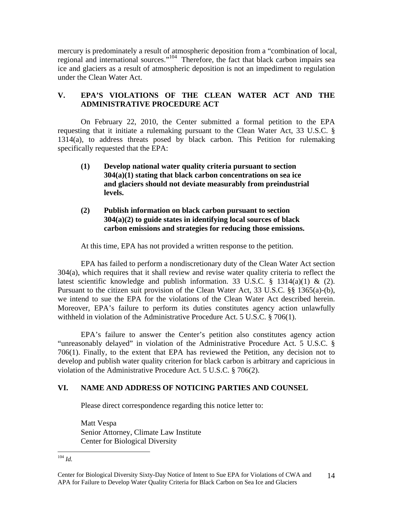mercury is predominately a result of atmospheric deposition from a "combination of local, regional and international sources."104 Therefore, the fact that black carbon impairs sea ice and glaciers as a result of atmospheric deposition is not an impediment to regulation under the Clean Water Act.

# **V. EPA'S VIOLATIONS OF THE CLEAN WATER ACT AND THE ADMINISTRATIVE PROCEDURE ACT**

On February 22, 2010, the Center submitted a formal petition to the EPA requesting that it initiate a rulemaking pursuant to the Clean Water Act, 33 U.S.C. § 1314(a), to address threats posed by black carbon. This Petition for rulemaking specifically requested that the EPA:

- **(1) Develop national water quality criteria pursuant to section 304(a)(1) stating that black carbon concentrations on sea ice and glaciers should not deviate measurably from preindustrial levels.**
- **(2) Publish information on black carbon pursuant to section 304(a)(2) to guide states in identifying local sources of black carbon emissions and strategies for reducing those emissions.**

At this time, EPA has not provided a written response to the petition.

EPA has failed to perform a nondiscretionary duty of the Clean Water Act section 304(a), which requires that it shall review and revise water quality criteria to reflect the latest scientific knowledge and publish information. 33 U.S.C.  $\S$  1314(a)(1) & (2). Pursuant to the citizen suit provision of the Clean Water Act, 33 U.S.C. §§ 1365(a)-(b), we intend to sue the EPA for the violations of the Clean Water Act described herein. Moreover, EPA's failure to perform its duties constitutes agency action unlawfully withheld in violation of the Administrative Procedure Act. 5 U.S.C. § 706(1).

EPA's failure to answer the Center's petition also constitutes agency action "unreasonably delayed" in violation of the Administrative Procedure Act. 5 U.S.C. § 706(1). Finally, to the extent that EPA has reviewed the Petition, any decision not to develop and publish water quality criterion for black carbon is arbitrary and capricious in violation of the Administrative Procedure Act. 5 U.S.C. § 706(2).

# **VI. NAME AND ADDRESS OF NOTICING PARTIES AND COUNSEL**

Please direct correspondence regarding this notice letter to:

Matt Vespa Senior Attorney, Climate Law Institute Center for Biological Diversity

 $\overline{a}$ <sup>104</sup> *Id.*